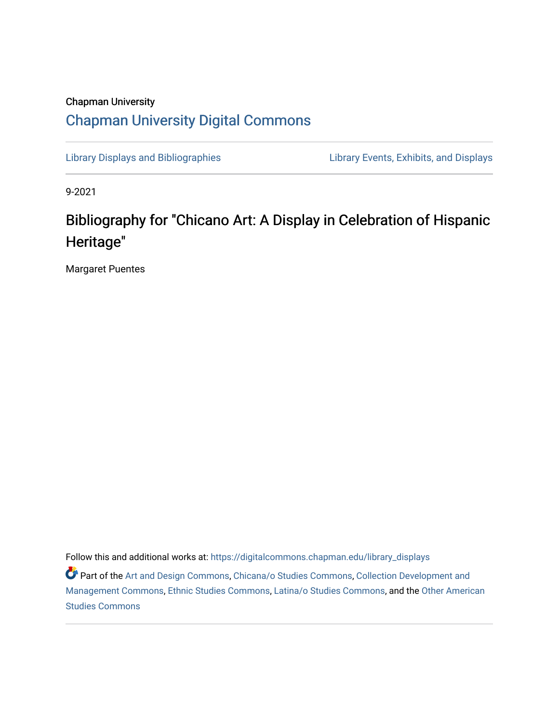## Chapman University [Chapman University Digital Commons](https://digitalcommons.chapman.edu/)

[Library Displays and Bibliographies](https://digitalcommons.chapman.edu/library_displays) [Library Events, Exhibits, and Displays](https://digitalcommons.chapman.edu/library_events) 

9-2021

## Bibliography for "Chicano Art: A Display in Celebration of Hispanic Heritage"

Margaret Puentes

Follow this and additional works at: [https://digitalcommons.chapman.edu/library\\_displays](https://digitalcommons.chapman.edu/library_displays?utm_source=digitalcommons.chapman.edu%2Flibrary_displays%2F17&utm_medium=PDF&utm_campaign=PDFCoverPages)

Part of the [Art and Design Commons](http://network.bepress.com/hgg/discipline/1049?utm_source=digitalcommons.chapman.edu%2Flibrary_displays%2F17&utm_medium=PDF&utm_campaign=PDFCoverPages), [Chicana/o Studies Commons](http://network.bepress.com/hgg/discipline/569?utm_source=digitalcommons.chapman.edu%2Flibrary_displays%2F17&utm_medium=PDF&utm_campaign=PDFCoverPages), [Collection Development and](http://network.bepress.com/hgg/discipline/1271?utm_source=digitalcommons.chapman.edu%2Flibrary_displays%2F17&utm_medium=PDF&utm_campaign=PDFCoverPages)  [Management Commons](http://network.bepress.com/hgg/discipline/1271?utm_source=digitalcommons.chapman.edu%2Flibrary_displays%2F17&utm_medium=PDF&utm_campaign=PDFCoverPages), [Ethnic Studies Commons,](http://network.bepress.com/hgg/discipline/570?utm_source=digitalcommons.chapman.edu%2Flibrary_displays%2F17&utm_medium=PDF&utm_campaign=PDFCoverPages) [Latina/o Studies Commons,](http://network.bepress.com/hgg/discipline/1315?utm_source=digitalcommons.chapman.edu%2Flibrary_displays%2F17&utm_medium=PDF&utm_campaign=PDFCoverPages) and the [Other American](http://network.bepress.com/hgg/discipline/445?utm_source=digitalcommons.chapman.edu%2Flibrary_displays%2F17&utm_medium=PDF&utm_campaign=PDFCoverPages) [Studies Commons](http://network.bepress.com/hgg/discipline/445?utm_source=digitalcommons.chapman.edu%2Flibrary_displays%2F17&utm_medium=PDF&utm_campaign=PDFCoverPages)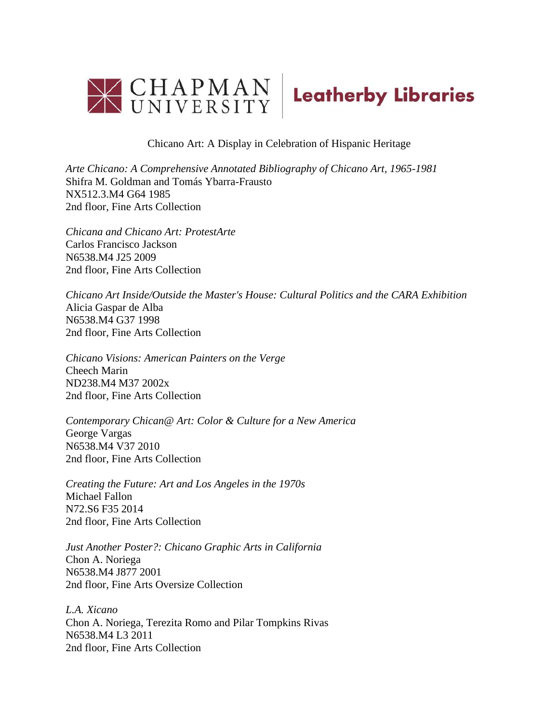

Chicano Art: A Display in Celebration of Hispanic Heritage

*Arte Chicano: A Comprehensive Annotated Bibliography of Chicano Art, 1965-1981* Shifra M. Goldman and Tomás Ybarra-Frausto NX512.3.M4 G64 1985 2nd floor, Fine Arts Collection

*Chicana and Chicano Art: ProtestArte* Carlos Francisco Jackson N6538.M4 J25 2009 2nd floor, Fine Arts Collection

*Chicano Art Inside/Outside the Master's House: Cultural Politics and the CARA Exhibition* Alicia Gaspar de Alba N6538.M4 G37 1998 2nd floor, Fine Arts Collection

*Chicano Visions: American Painters on the Verge* Cheech Marin ND238.M4 M37 2002x 2nd floor, Fine Arts Collection

*Contemporary Chican@ Art: Color & Culture for a New America* George Vargas N6538.M4 V37 2010 2nd floor, Fine Arts Collection

*Creating the Future: Art and Los Angeles in the 1970s* Michael Fallon N72.S6 F35 2014 2nd floor, Fine Arts Collection

*Just Another Poster?: Chicano Graphic Arts in California* Chon A. Noriega N6538.M4 J877 2001 2nd floor, Fine Arts Oversize Collection

*L.A. Xicano* Chon A. Noriega, Terezita Romo and Pilar Tompkins Rivas N6538.M4 L3 2011 2nd floor, Fine Arts Collection